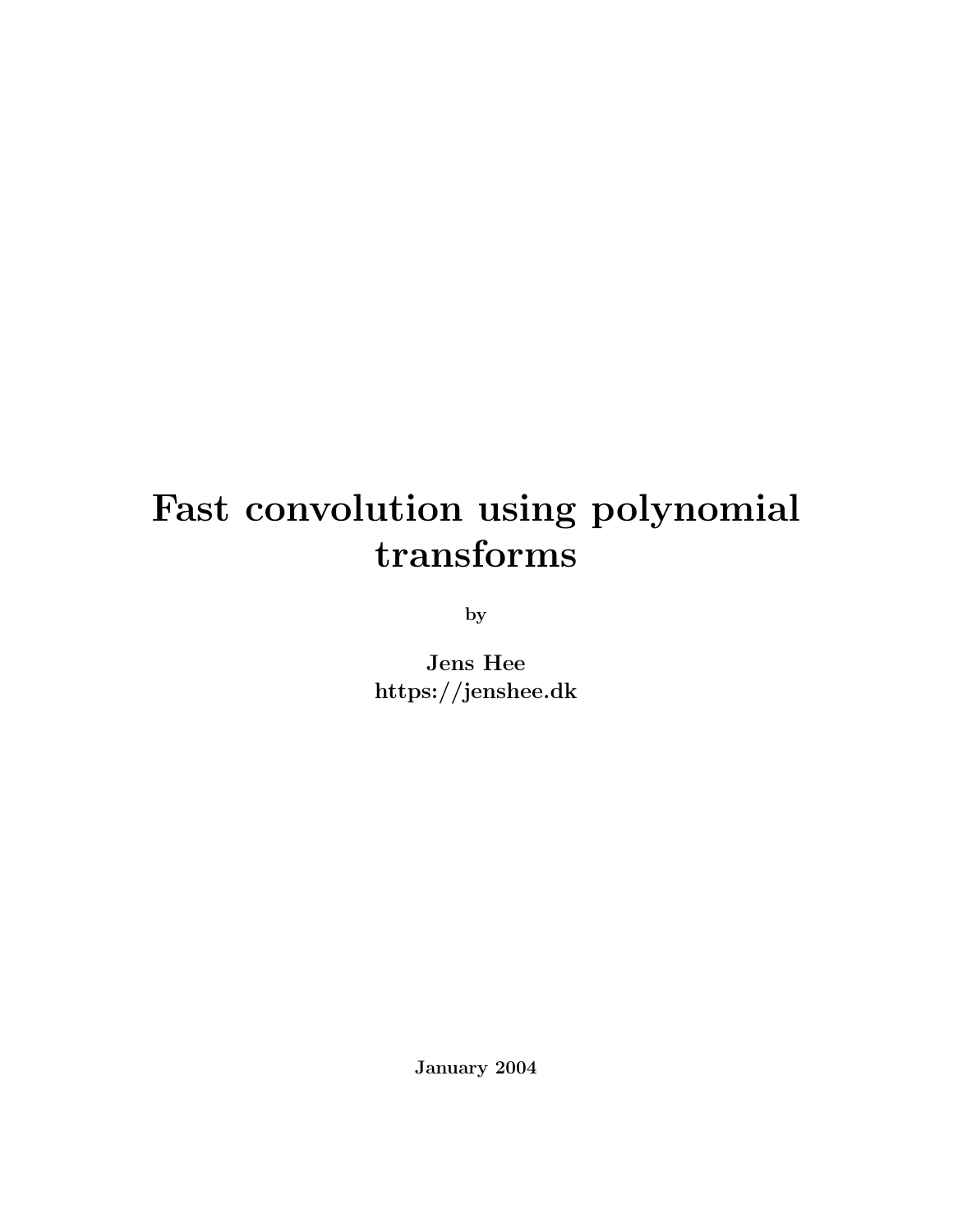## Fast convolution using polynomial transforms

by

Jens Hee https://jenshee.dk

January 2004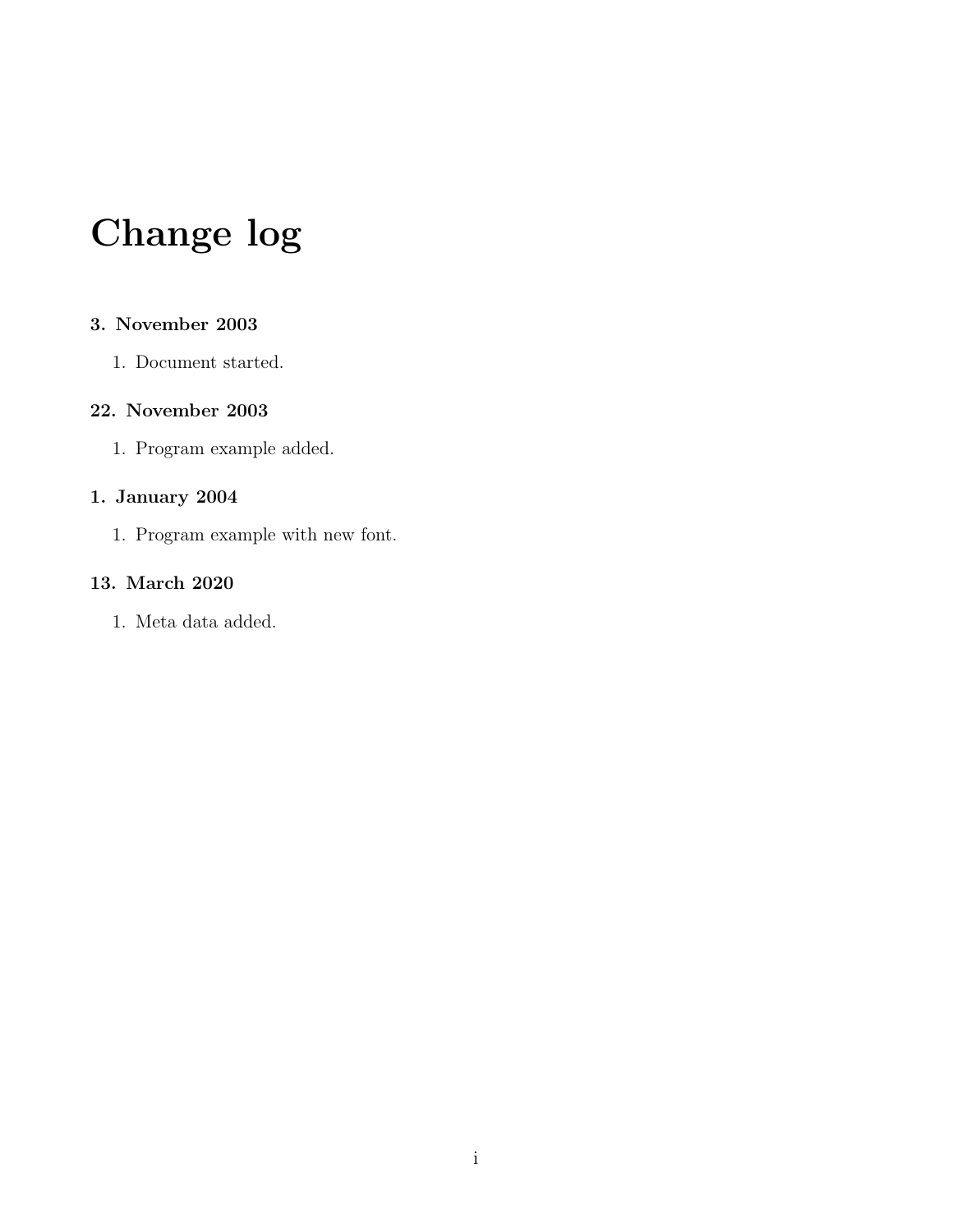## Change log

#### 3. November 2003

1. Document started.

#### 22. November 2003

1. Program example added.

#### 1. January 2004

1. Program example with new font.

#### 13. March 2020

1. Meta data added.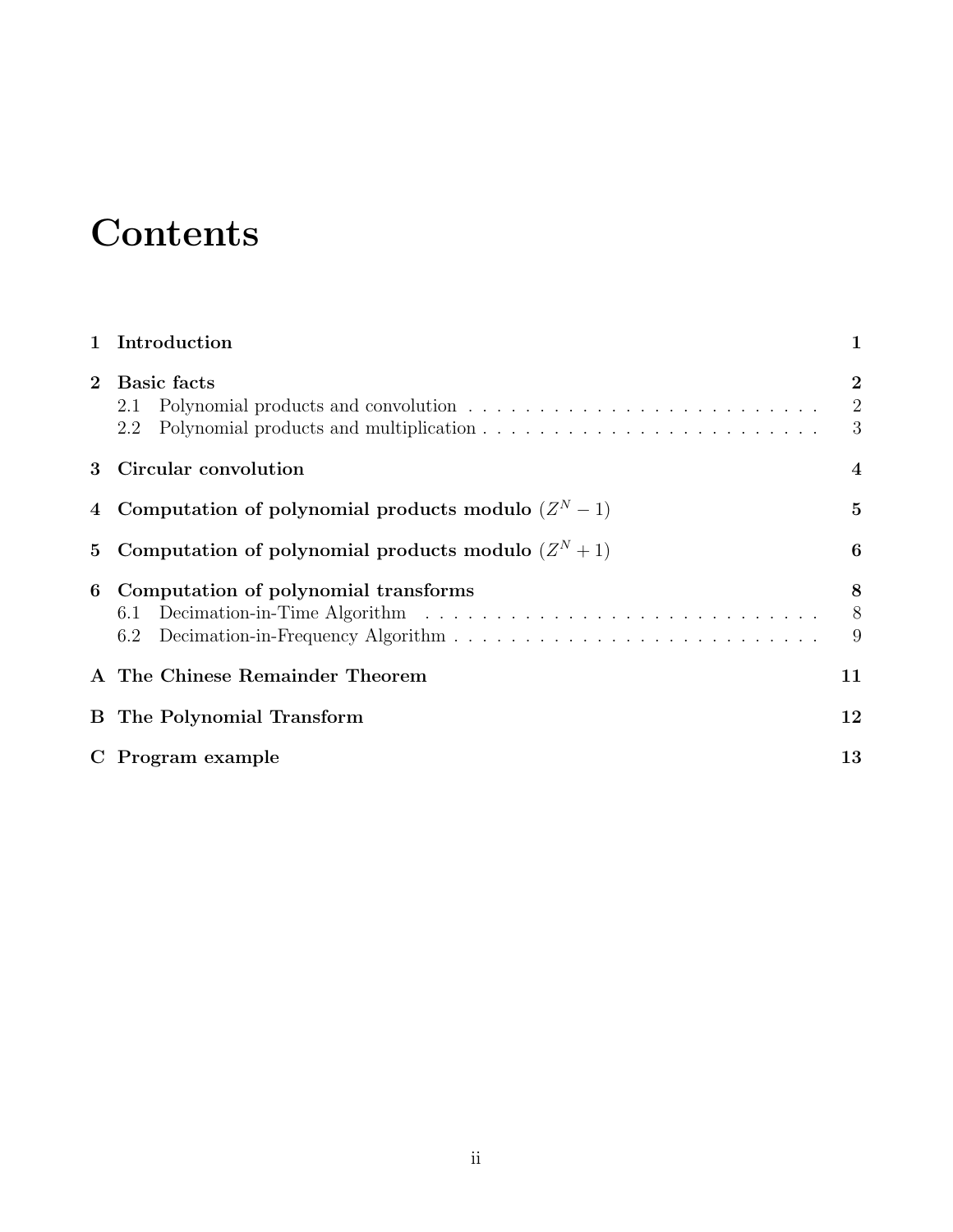## **Contents**

|              | 1 Introduction                                        | $\mathbf{1}$                          |
|--------------|-------------------------------------------------------|---------------------------------------|
| $\mathbf{2}$ | <b>Basic facts</b><br>2.1<br>2.2                      | $\overline{2}$<br>$\overline{2}$<br>3 |
| 3            | Circular convolution                                  | $\overline{\mathbf{4}}$               |
|              | Computation of polynomial products modulo $(Z^N - 1)$ | $\mathbf{5}$                          |
| 5            | Computation of polynomial products modulo $(Z^N + 1)$ | 6                                     |
| 6            | Computation of polynomial transforms<br>6.1<br>6.2    | 8<br>8<br>9                           |
|              | A The Chinese Remainder Theorem                       | 11                                    |
|              | <b>B</b> The Polynomial Transform                     | 12                                    |
|              | C Program example                                     | 13                                    |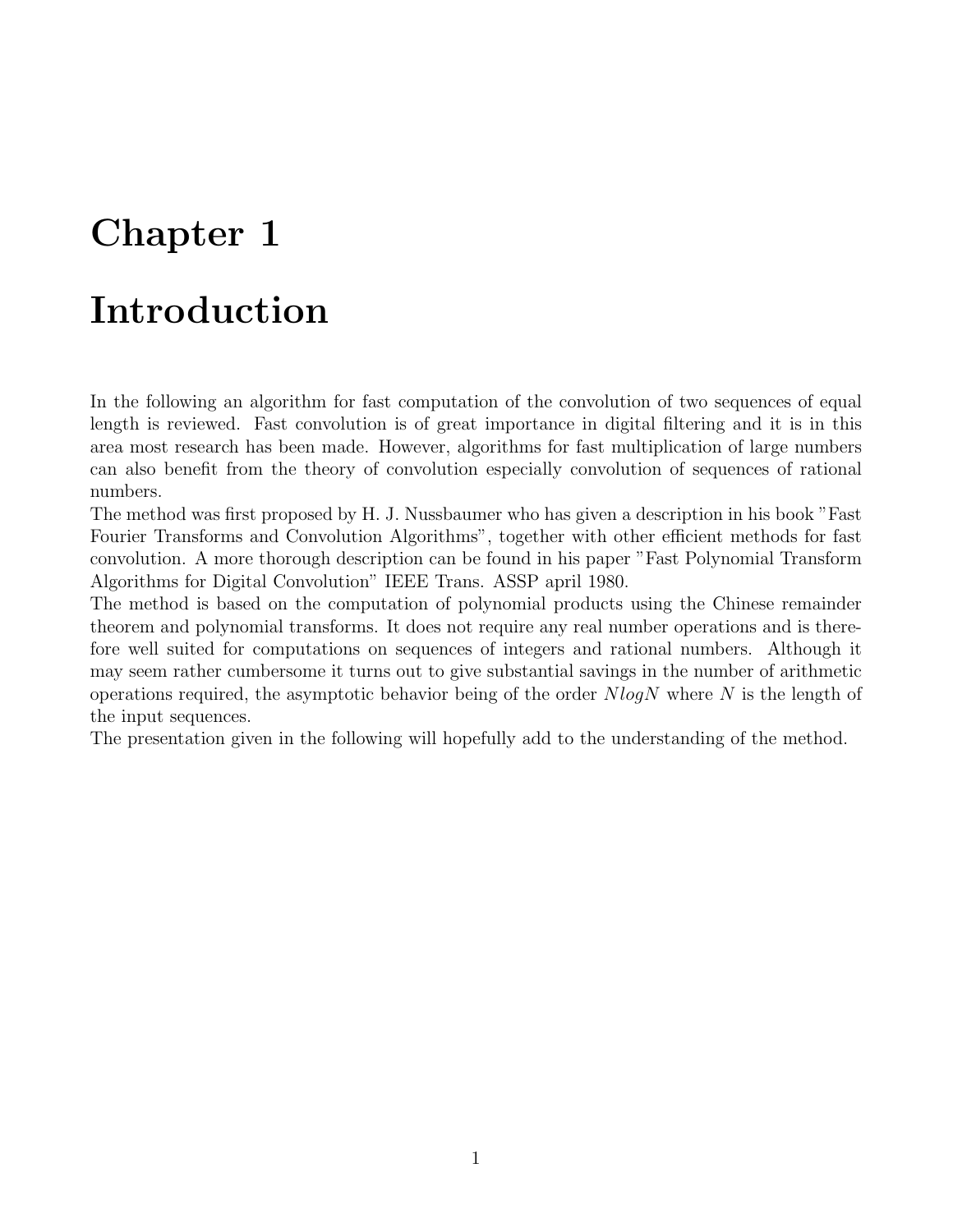### <span id="page-3-0"></span>Introduction

In the following an algorithm for fast computation of the convolution of two sequences of equal length is reviewed. Fast convolution is of great importance in digital filtering and it is in this area most research has been made. However, algorithms for fast multiplication of large numbers can also benefit from the theory of convolution especially convolution of sequences of rational numbers.

The method was first proposed by H. J. Nussbaumer who has given a description in his book "Fast Fourier Transforms and Convolution Algorithms", together with other efficient methods for fast convolution. A more thorough description can be found in his paper "Fast Polynomial Transform Algorithms for Digital Convolution" IEEE Trans. ASSP april 1980.

The method is based on the computation of polynomial products using the Chinese remainder theorem and polynomial transforms. It does not require any real number operations and is therefore well suited for computations on sequences of integers and rational numbers. Although it may seem rather cumbersome it turns out to give substantial savings in the number of arithmetic operations required, the asymptotic behavior being of the order  $NlogN$  where N is the length of the input sequences.

The presentation given in the following will hopefully add to the understanding of the method.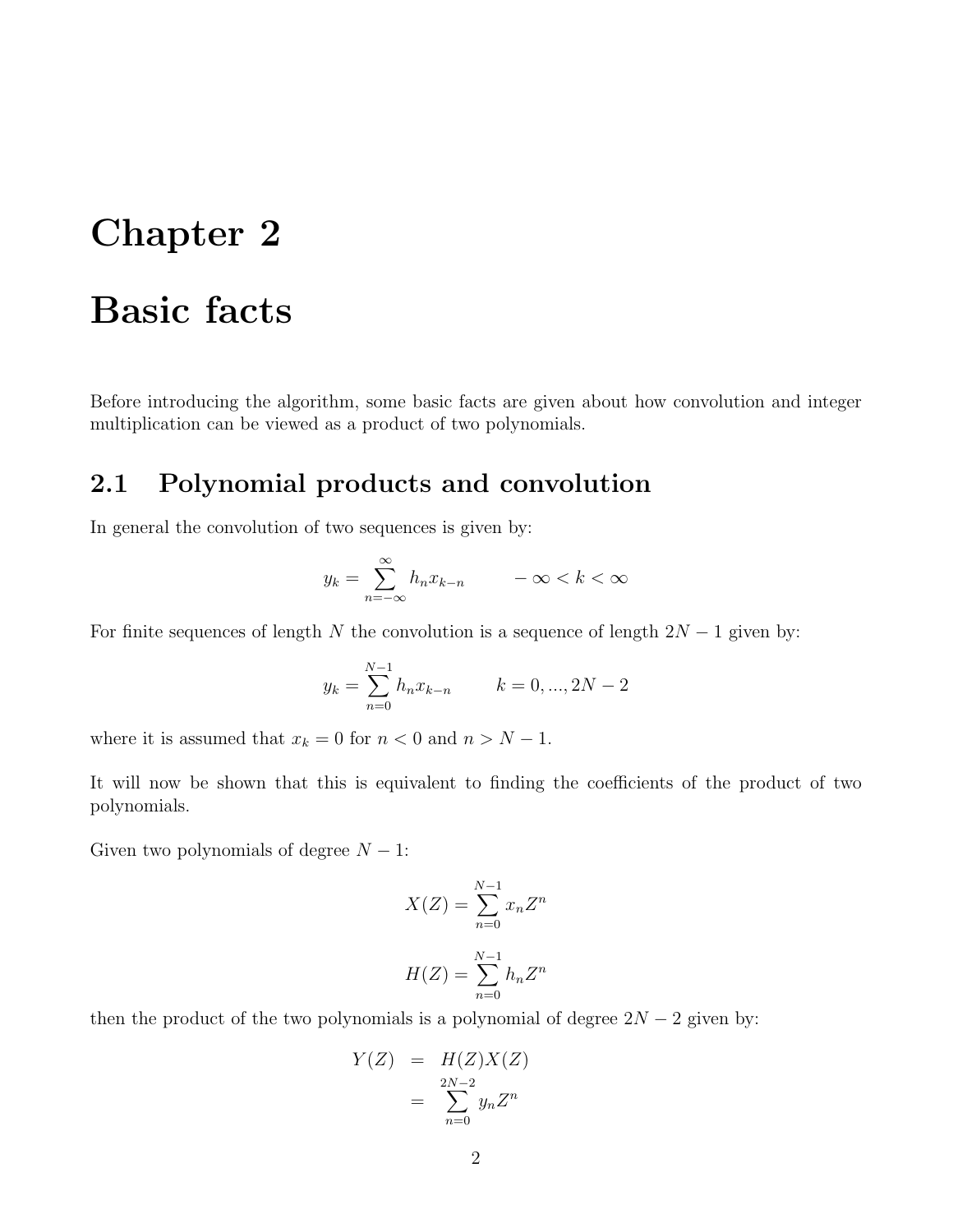### <span id="page-4-0"></span>Basic facts

Before introducing the algorithm, some basic facts are given about how convolution and integer multiplication can be viewed as a product of two polynomials.

#### <span id="page-4-1"></span>2.1 Polynomial products and convolution

In general the convolution of two sequences is given by:

$$
y_k = \sum_{n = -\infty}^{\infty} h_n x_{k-n} \qquad -\infty < k < \infty
$$

For finite sequences of length N the convolution is a sequence of length  $2N - 1$  given by:

$$
y_k = \sum_{n=0}^{N-1} h_n x_{k-n} \qquad k = 0, ..., 2N - 2
$$

where it is assumed that  $x_k = 0$  for  $n < 0$  and  $n > N - 1$ .

It will now be shown that this is equivalent to finding the coefficients of the product of two polynomials.

Given two polynomials of degree  $N - 1$ :

$$
X(Z) = \sum_{n=0}^{N-1} x_n Z^n
$$

$$
H(Z) = \sum_{n=0}^{N-1} h_n Z^n
$$

then the product of the two polynomials is a polynomial of degree  $2N - 2$  given by:

$$
Y(Z) = H(Z)X(Z)
$$
  
= 
$$
\sum_{n=0}^{2N-2} y_n Z^n
$$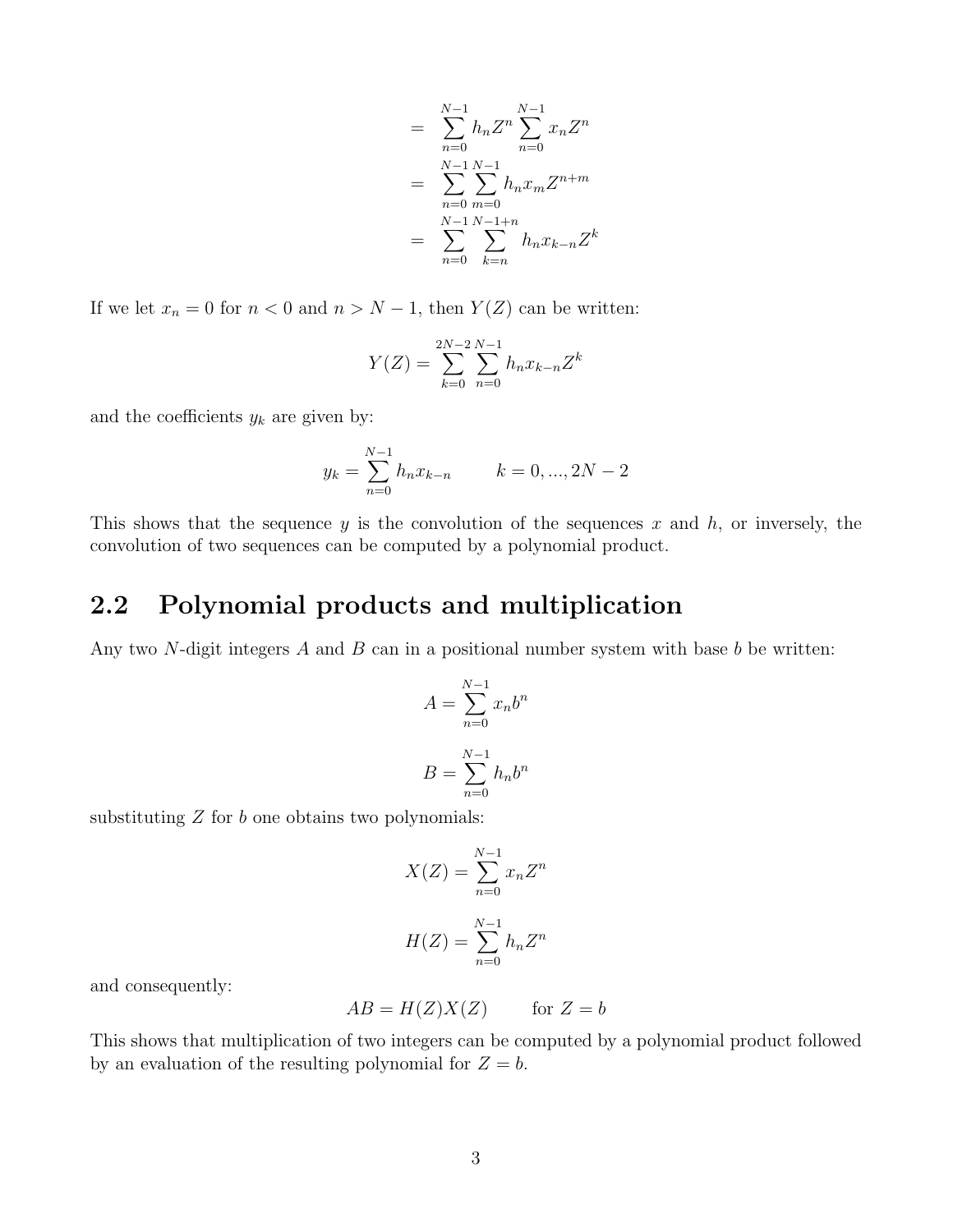$$
= \sum_{n=0}^{N-1} h_n Z^n \sum_{n=0}^{N-1} x_n Z^n
$$

$$
= \sum_{n=0}^{N-1} \sum_{m=0}^{N-1} h_n x_m Z^{n+m}
$$

$$
= \sum_{n=0}^{N-1} \sum_{k=n}^{N-1+n} h_n x_{k-n} Z^k
$$

If we let  $x_n = 0$  for  $n < 0$  and  $n > N - 1$ , then  $Y(Z)$  can be written:

$$
Y(Z) = \sum_{k=0}^{2N-2} \sum_{n=0}^{N-1} h_n x_{k-n} Z^k
$$

and the coefficients  $y_k$  are given by:

$$
y_k = \sum_{n=0}^{N-1} h_n x_{k-n} \qquad k = 0, ..., 2N-2
$$

This shows that the sequence y is the convolution of the sequences x and  $h$ , or inversely, the convolution of two sequences can be computed by a polynomial product.

#### <span id="page-5-0"></span>2.2 Polynomial products and multiplication

Any two N-digit integers  $A$  and  $B$  can in a positional number system with base  $b$  be written:

$$
A = \sum_{n=0}^{N-1} x_n b^n
$$

$$
B = \sum_{n=0}^{N-1} h_n b^n
$$

substituting  $Z$  for  $b$  one obtains two polynomials:

$$
X(Z) = \sum_{n=0}^{N-1} x_n Z^n
$$

$$
H(Z) = \sum_{n=0}^{N-1} h_n Z^n
$$

and consequently:

$$
AB = H(Z)X(Z) \qquad \text{for } Z = b
$$

This shows that multiplication of two integers can be computed by a polynomial product followed by an evaluation of the resulting polynomial for  $Z = b$ .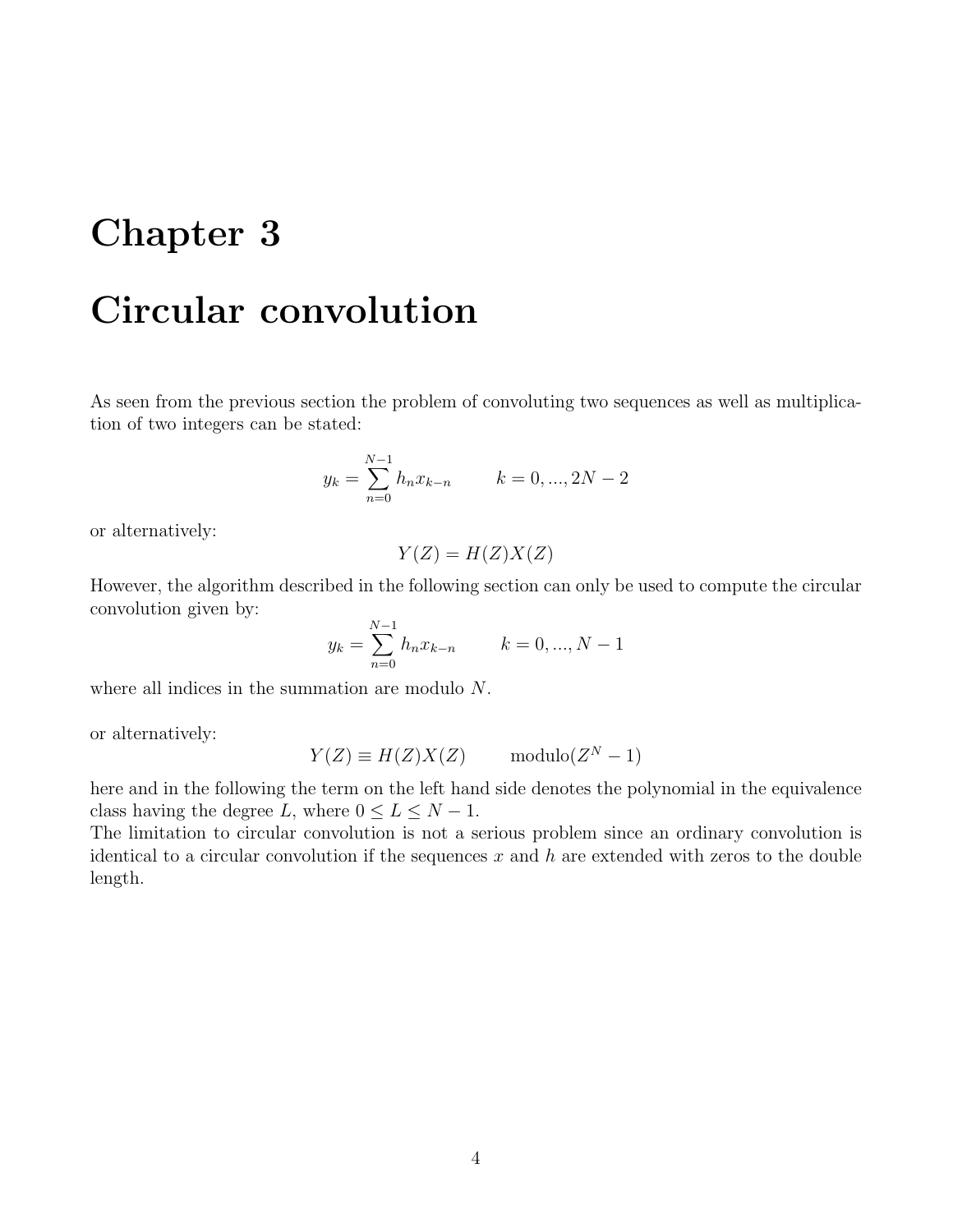### <span id="page-6-0"></span>Circular convolution

As seen from the previous section the problem of convoluting two sequences as well as multiplication of two integers can be stated:

$$
y_k = \sum_{n=0}^{N-1} h_n x_{k-n} \qquad k = 0, ..., 2N - 2
$$

or alternatively:

$$
Y(Z) = H(Z)X(Z)
$$

However, the algorithm described in the following section can only be used to compute the circular convolution given by:

$$
y_k = \sum_{n=0}^{N-1} h_n x_{k-n} \qquad k = 0, ..., N-1
$$

where all indices in the summation are modulo N.

or alternatively:

$$
Y(Z) \equiv H(Z)X(Z) \qquad \text{modulo}(Z^N - 1)
$$

here and in the following the term on the left hand side denotes the polynomial in the equivalence class having the degree L, where  $0 \le L \le N - 1$ .

The limitation to circular convolution is not a serious problem since an ordinary convolution is identical to a circular convolution if the sequences  $x$  and  $h$  are extended with zeros to the double length.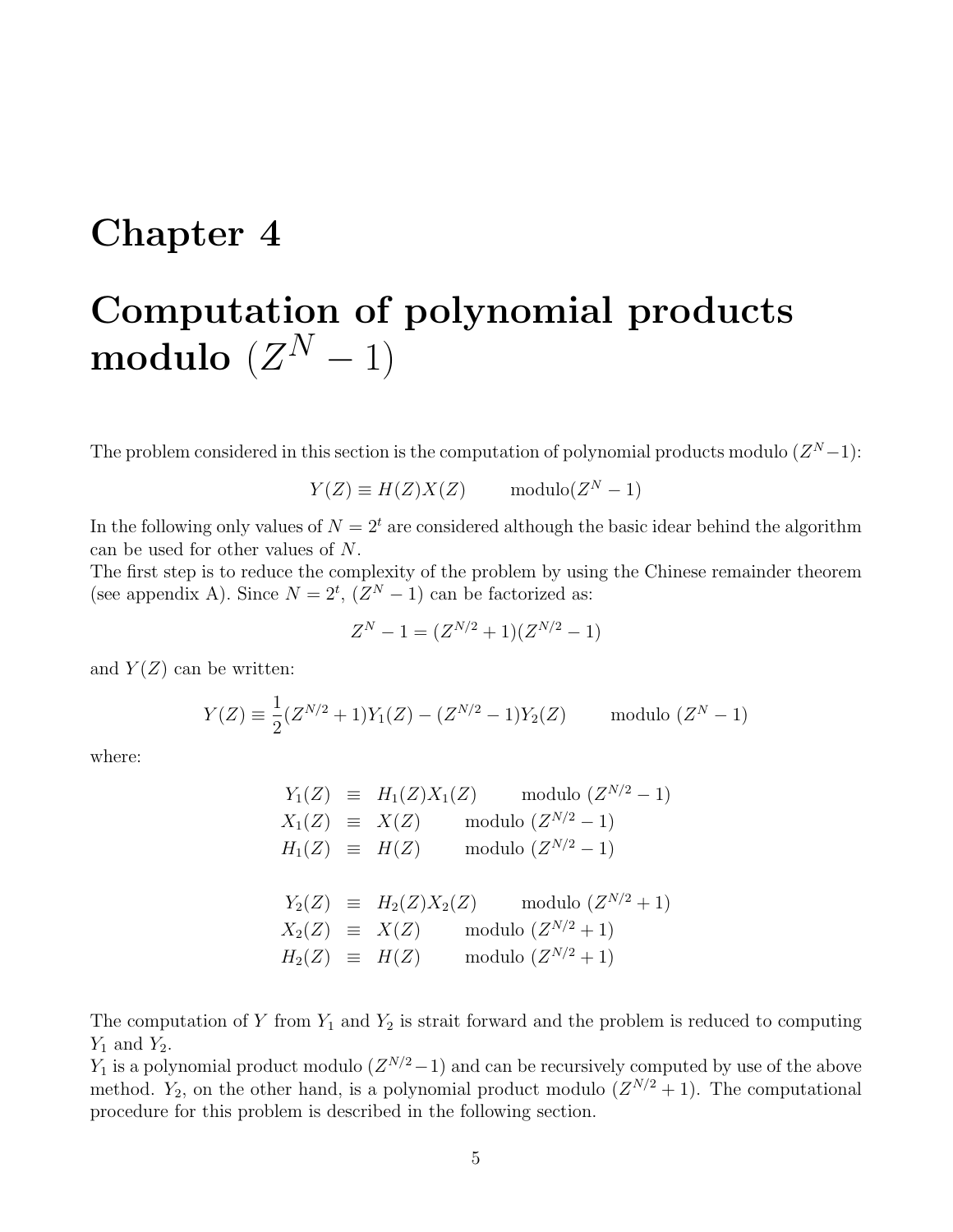## <span id="page-7-0"></span>Computation of polynomial products  ${\bf modulo} \,\, (Z^N-1)$

The problem considered in this section is the computation of polynomial products modulo  $(Z^N-1)$ :

 $Y(Z) \equiv H(Z)X(Z)$  modulo $(Z^N - 1)$ 

In the following only values of  $N = 2<sup>t</sup>$  are considered although the basic idear behind the algorithm can be used for other values of N.

The first step is to reduce the complexity of the problem by using the Chinese remainder theorem (see appendix A). Since  $N = 2^t$ ,  $(Z^N - 1)$  can be factorized as:

$$
Z^N - 1 = (Z^{N/2} + 1)(Z^{N/2} - 1)
$$

and  $Y(Z)$  can be written:

$$
Y(Z) \equiv \frac{1}{2}(Z^{N/2} + 1)Y_1(Z) - (Z^{N/2} - 1)Y_2(Z) \quad \text{modulo } (Z^N - 1)
$$

where:

$$
Y_1(Z) \equiv H_1(Z)X_1(Z) \mod (Z^{N/2} - 1)
$$
  
\n
$$
X_1(Z) \equiv X(Z) \mod (Z^{N/2} - 1)
$$
  
\n
$$
H_1(Z) \equiv H(Z) \mod (Z^{N/2} - 1)
$$
  
\n
$$
Y_2(Z) \equiv H_2(Z)X_2(Z) \mod (Z^{N/2} + 1)
$$
  
\n
$$
X_2(Z) \equiv X(Z) \mod (Z^{N/2} + 1)
$$
  
\n
$$
H_2(Z) \equiv H(Z) \mod (Z^{N/2} + 1)
$$

The computation of Y from  $Y_1$  and  $Y_2$  is strait forward and the problem is reduced to computing  $Y_1$  and  $Y_2$ .

 $Y_1$  is a polynomial product modulo  $(Z^{N/2}-1)$  and can be recursively computed by use of the above method.  $Y_2$ , on the other hand, is a polynomial product modulo  $(Z^{N/2}+1)$ . The computational procedure for this problem is described in the following section.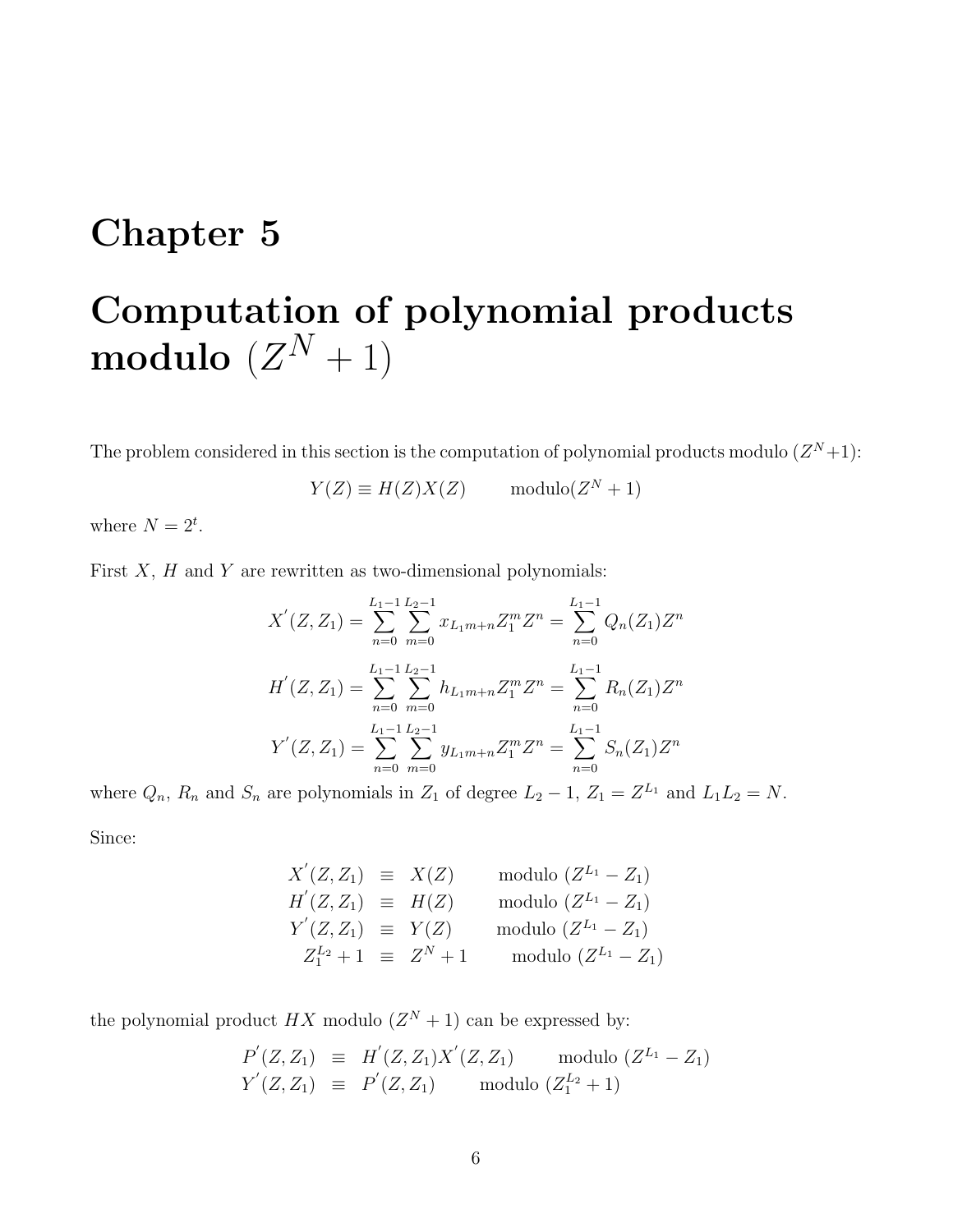## <span id="page-8-0"></span>Computation of polynomial products  ${\bf modulo} \,\, (Z^N+1)$

The problem considered in this section is the computation of polynomial products modulo  $(Z^N+1)$ :

 $Y(Z) \equiv H(Z)X(Z)$  modulo $(Z^N + 1)$ 

where  $N = 2^t$ .

First  $X$ ,  $H$  and  $Y$  are rewritten as two-dimensional polynomials:

$$
X'(Z, Z_1) = \sum_{n=0}^{L_1-1} \sum_{m=0}^{L_2-1} x_{L_1m+n} Z_1^m Z^n = \sum_{n=0}^{L_1-1} Q_n(Z_1) Z^n
$$
  
\n
$$
H'(Z, Z_1) = \sum_{n=0}^{L_1-1} \sum_{m=0}^{L_2-1} h_{L_1m+n} Z_1^m Z^n = \sum_{n=0}^{L_1-1} R_n(Z_1) Z^n
$$
  
\n
$$
Y'(Z, Z_1) = \sum_{n=0}^{L_1-1} \sum_{m=0}^{L_2-1} y_{L_1m+n} Z_1^m Z^n = \sum_{n=0}^{L_1-1} S_n(Z_1) Z^n
$$

where  $Q_n$ ,  $R_n$  and  $S_n$  are polynomials in  $Z_1$  of degree  $L_2 - 1$ ,  $Z_1 = Z^{L_1}$  and  $L_1 L_2 = N$ . Since:

$$
X'(Z, Z_1) \equiv X(Z) \quad \text{modulo } (Z^{L_1} - Z_1) \nH'(Z, Z_1) \equiv H(Z) \quad \text{modulo } (Z^{L_1} - Z_1) \nY'(Z, Z_1) \equiv Y(Z) \quad \text{modulo } (Z^{L_1} - Z_1) \nZ_1^{L_2} + 1 \equiv Z^N + 1 \quad \text{modulo } (Z^{L_1} - Z_1)
$$

the polynomial product  $HX$  modulo  $(Z<sup>N</sup> + 1)$  can be expressed by:

$$
P'(Z, Z_1) \equiv H'(Z, Z_1)X'(Z, Z_1) \text{ modulo } (Z^{L_1} - Z_1)
$$
  
 
$$
Y'(Z, Z_1) \equiv P'(Z, Z_1) \text{ modulo } (Z_1^{L_2} + 1)
$$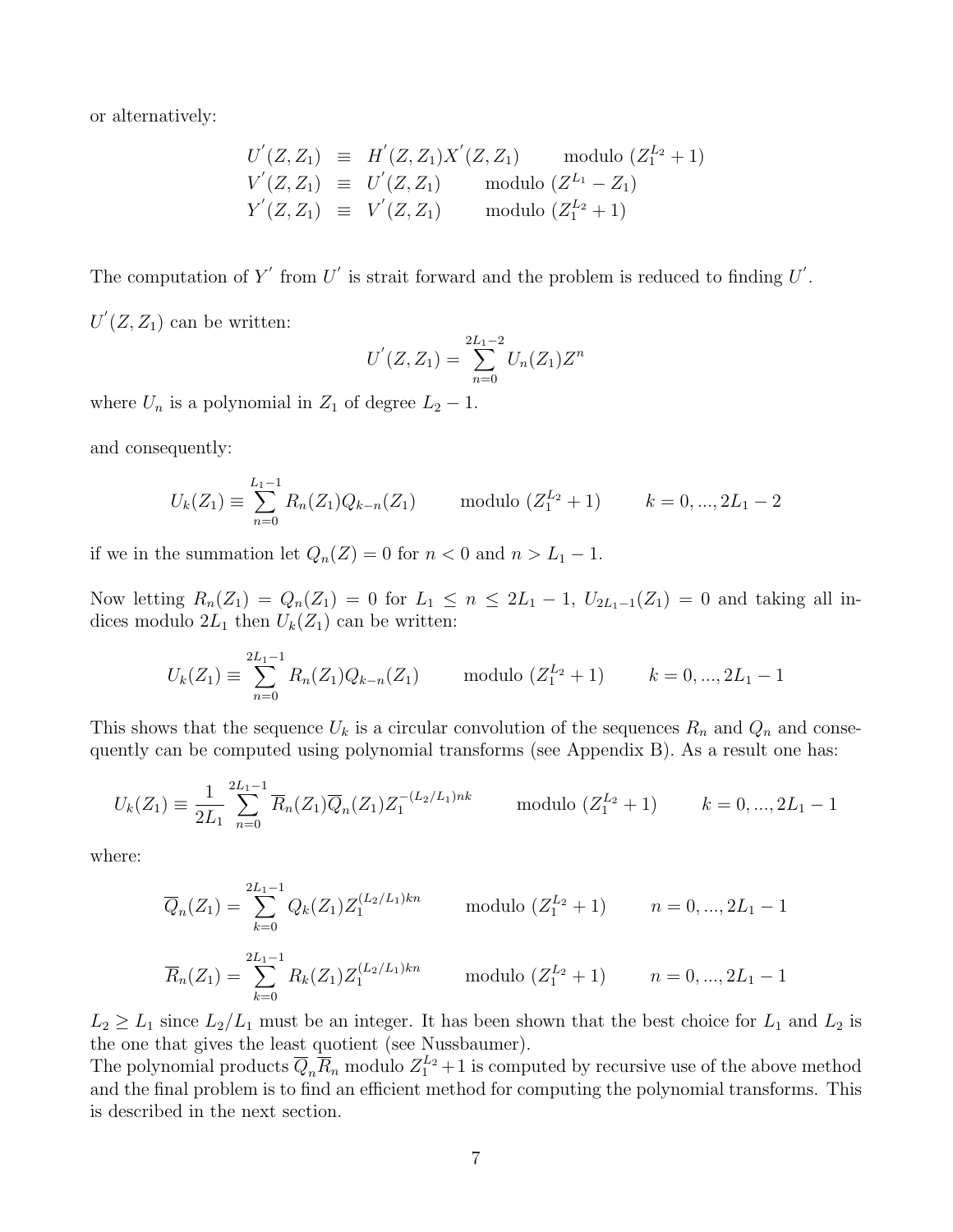or alternatively:

$$
U'(Z, Z_1) \equiv H'(Z, Z_1)X'(Z, Z_1) \text{ modulo } (Z_1^{L_2} + 1)
$$
  
\n
$$
V'(Z, Z_1) \equiv U'(Z, Z_1) \text{ modulo } (Z^{L_1} - Z_1)
$$
  
\n
$$
Y'(Z, Z_1) \equiv V'(Z, Z_1) \text{ modulo } (Z_1^{L_2} + 1)
$$

The computation of Y' from U' is strait forward and the problem is reduced to finding  $U'$ .

 $U'(Z, Z_1)$  can be written:

$$
U'(Z, Z_1) = \sum_{n=0}^{2L_1 - 2} U_n(Z_1) Z^n
$$

where  $U_n$  is a polynomial in  $Z_1$  of degree  $L_2 - 1$ .

and consequently:

$$
U_k(Z_1) \equiv \sum_{n=0}^{L_1-1} R_n(Z_1) Q_{k-n}(Z_1) \quad \text{modulo } (Z_1^{L_2} + 1) \quad k = 0, ..., 2L_1 - 2
$$

if we in the summation let  $Q_n(Z) = 0$  for  $n < 0$  and  $n > L_1 - 1$ .

Now letting  $R_n(Z_1) = Q_n(Z_1) = 0$  for  $L_1 \le n \le 2L_1 - 1$ ,  $U_{2L_1-1}(Z_1) = 0$  and taking all indices modulo  $2L_1$  then  $U_k(Z_1)$  can be written:

$$
U_k(Z_1) \equiv \sum_{n=0}^{2L_1 - 1} R_n(Z_1) Q_{k-n}(Z_1) \quad \text{modulo } (Z_1^{L_2} + 1) \quad k = 0, ..., 2L_1 - 1
$$

This shows that the sequence  $U_k$  is a circular convolution of the sequences  $R_n$  and  $Q_n$  and consequently can be computed using polynomial transforms (see Appendix B). As a result one has:

$$
U_k(Z_1) \equiv \frac{1}{2L_1} \sum_{n=0}^{2L_1 - 1} \overline{R}_n(Z_1) \overline{Q}_n(Z_1) Z_1^{-(L_2/L_1)nk} \quad \text{modulo } (Z_1^{L_2} + 1) \quad k = 0, ..., 2L_1 - 1
$$

where:

$$
\overline{Q}_n(Z_1) = \sum_{k=0}^{2L_1 - 1} Q_k(Z_1) Z_1^{(L_2/L_1)kn} \quad \text{modulo } (Z_1^{L_2} + 1) \quad n = 0, ..., 2L_1 - 1
$$

$$
\overline{R}_n(Z_1) = \sum_{k=0}^{2L_1 - 1} R_k(Z_1) Z_1^{(L_2/L_1)kn} \quad \text{modulo } (Z_1^{L_2} + 1) \quad n = 0, ..., 2L_1 - 1
$$

 $L_2 \geq L_1$  since  $L_2/L_1$  must be an integer. It has been shown that the best choice for  $L_1$  and  $L_2$  is the one that gives the least quotient (see Nussbaumer).

The polynomial products  $\overline{Q}_n \overline{R}_n$  modulo  $Z_1^{L_2} + 1$  is computed by recursive use of the above method and the final problem is to find an efficient method for computing the polynomial transforms. This is described in the next section.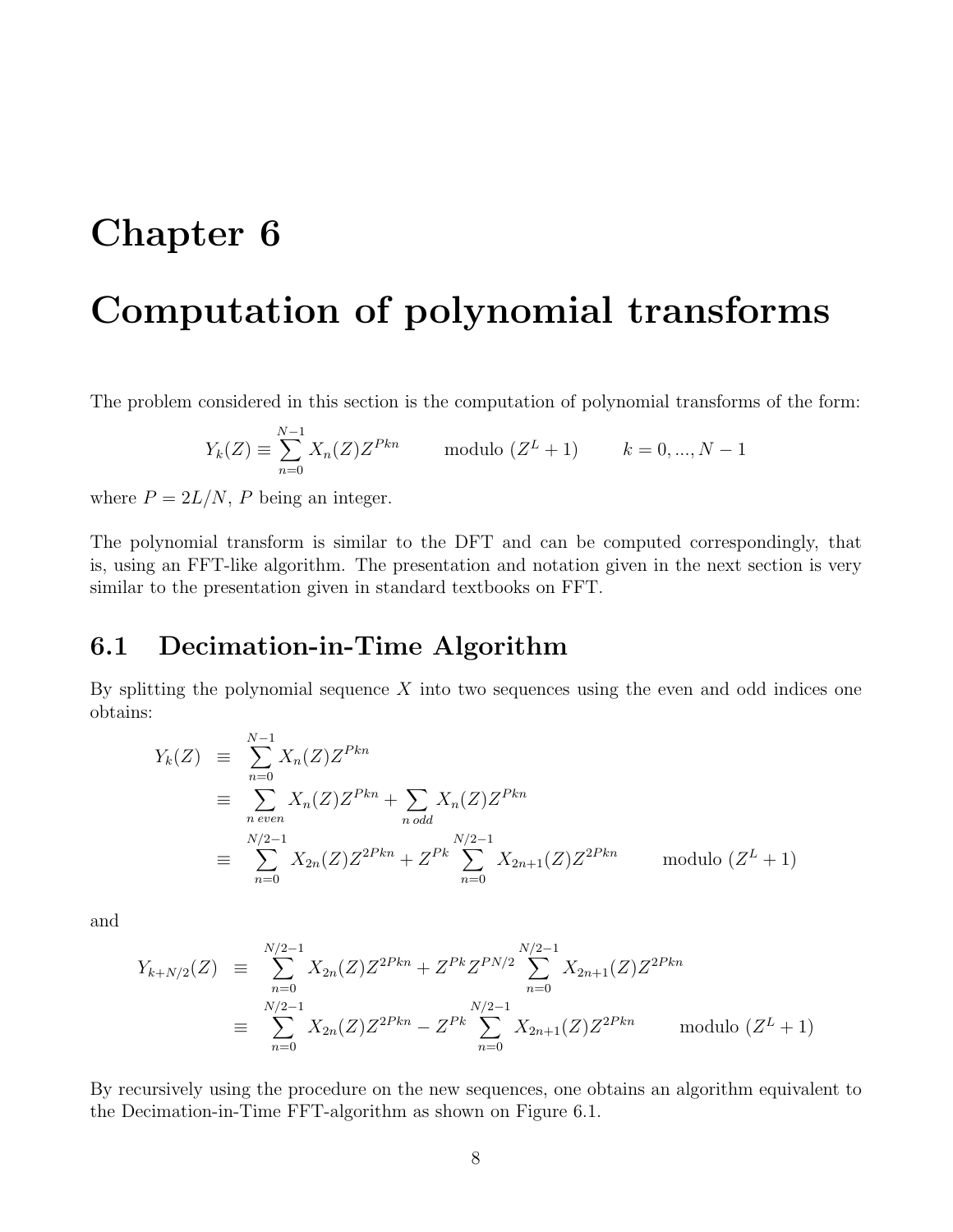### <span id="page-10-0"></span>Computation of polynomial transforms

The problem considered in this section is the computation of polynomial transforms of the form:

$$
Y_k(Z) \equiv \sum_{n=0}^{N-1} X_n(Z) Z^{Pkn} \quad \text{modulo } (Z^L + 1) \quad k = 0, ..., N - 1
$$

where  $P = 2L/N$ , P being an integer.

The polynomial transform is similar to the DFT and can be computed correspondingly, that is, using an FFT-like algorithm. The presentation and notation given in the next section is very similar to the presentation given in standard textbooks on FFT.

#### <span id="page-10-1"></span>6.1 Decimation-in-Time Algorithm

By splitting the polynomial sequence  $X$  into two sequences using the even and odd indices one obtains:

$$
Y_k(Z) \equiv \sum_{n=0}^{N-1} X_n(Z) Z^{Pkn}
$$
  
\n
$$
\equiv \sum_{n \text{ even}}^{N-1} X_n(Z) Z^{Pkn} + \sum_{n \text{ odd}} X_n(Z) Z^{Pkn}
$$
  
\n
$$
\equiv \sum_{n=0}^{N/2-1} X_{2n}(Z) Z^{2Pkn} + Z^{Pk} \sum_{n=0}^{N/2-1} X_{2n+1}(Z) Z^{2Pkn} \quad \text{modulo } (Z^L + 1)
$$

and

$$
Y_{k+N/2}(Z) \equiv \sum_{n=0}^{N/2-1} X_{2n}(Z) Z^{2Pkn} + Z^{Pk} Z^{PN/2} \sum_{n=0}^{N/2-1} X_{2n+1}(Z) Z^{2Pkn}
$$
  

$$
\equiv \sum_{n=0}^{N/2-1} X_{2n}(Z) Z^{2Pkn} - Z^{Pk} \sum_{n=0}^{N/2-1} X_{2n+1}(Z) Z^{2Pkn} \quad \text{modulo } (Z^L + 1)
$$

By recursively using the procedure on the new sequences, one obtains an algorithm equivalent to the Decimation-in-Time FFT-algorithm as shown on Figure [6.1.](#page-12-0)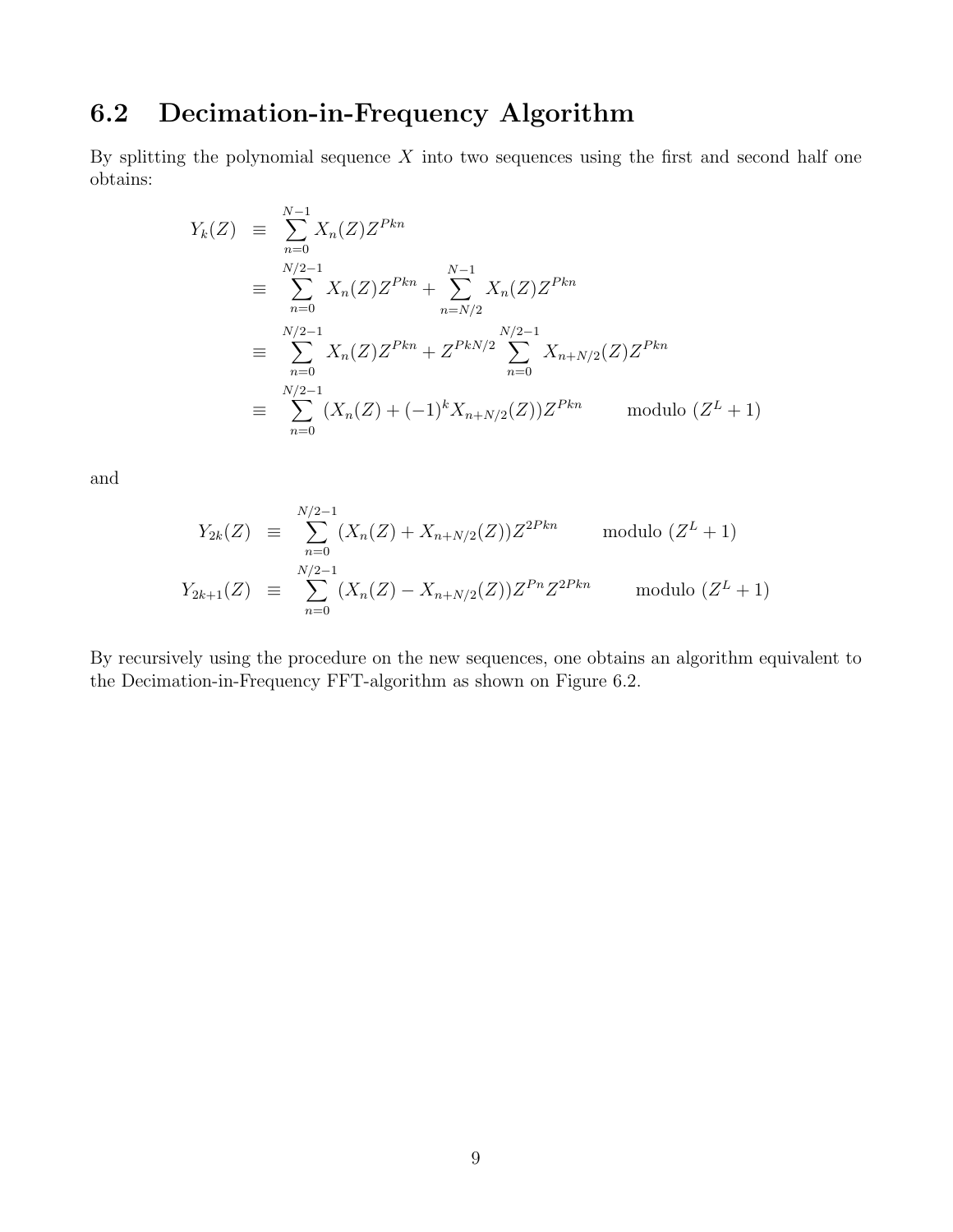#### <span id="page-11-0"></span>6.2 Decimation-in-Frequency Algorithm

By splitting the polynomial sequence  $X$  into two sequences using the first and second half one obtains:

$$
Y_k(Z) = \sum_{n=0}^{N-1} X_n(Z) Z^{Pkn}
$$
  
\n
$$
= \sum_{n=0}^{N/2-1} X_n(Z) Z^{Pkn} + \sum_{n=N/2}^{N-1} X_n(Z) Z^{Pkn}
$$
  
\n
$$
= \sum_{n=0}^{N/2-1} X_n(Z) Z^{Pkn} + Z^{PkN/2} \sum_{n=0}^{N/2-1} X_{n+N/2}(Z) Z^{Pkn}
$$
  
\n
$$
= \sum_{n=0}^{N/2-1} (X_n(Z) + (-1)^k X_{n+N/2}(Z)) Z^{Pkn} \quad \text{modulo } (Z^L + 1)
$$

and

$$
Y_{2k}(Z) \equiv \sum_{n=0}^{N/2-1} (X_n(Z) + X_{n+N/2}(Z)) Z^{2Pkn} \quad \text{modulo } (Z^L + 1)
$$
  

$$
Y_{2k+1}(Z) \equiv \sum_{n=0}^{N/2-1} (X_n(Z) - X_{n+N/2}(Z)) Z^{Pn} Z^{2Pkn} \quad \text{modulo } (Z^L + 1)
$$

By recursively using the procedure on the new sequences, one obtains an algorithm equivalent to the Decimation-in-Frequency FFT-algorithm as shown on Figure [6.2.](#page-12-1)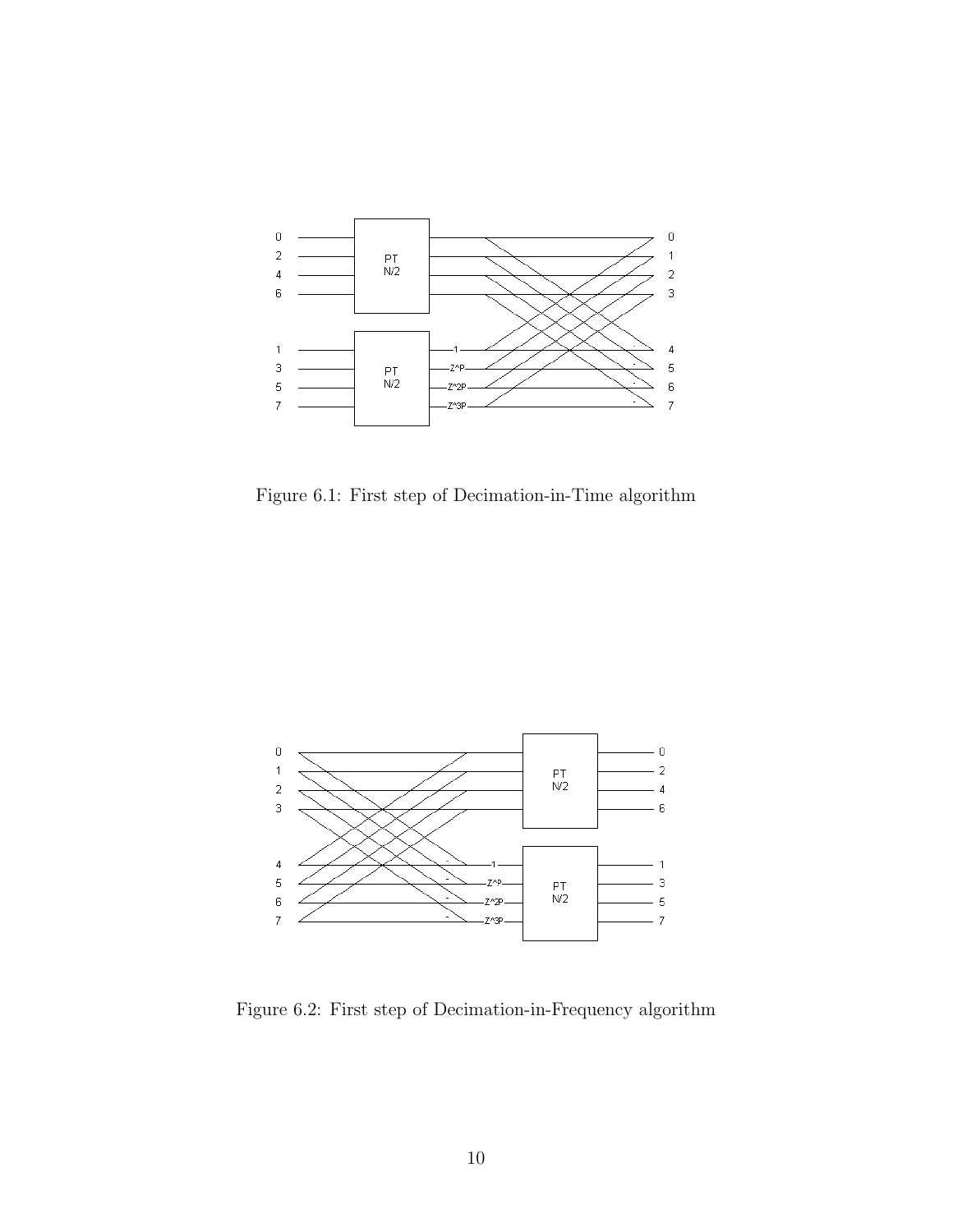

<span id="page-12-0"></span>Figure 6.1: First step of Decimation-in-Time algorithm



<span id="page-12-1"></span>Figure 6.2: First step of Decimation-in-Frequency algorithm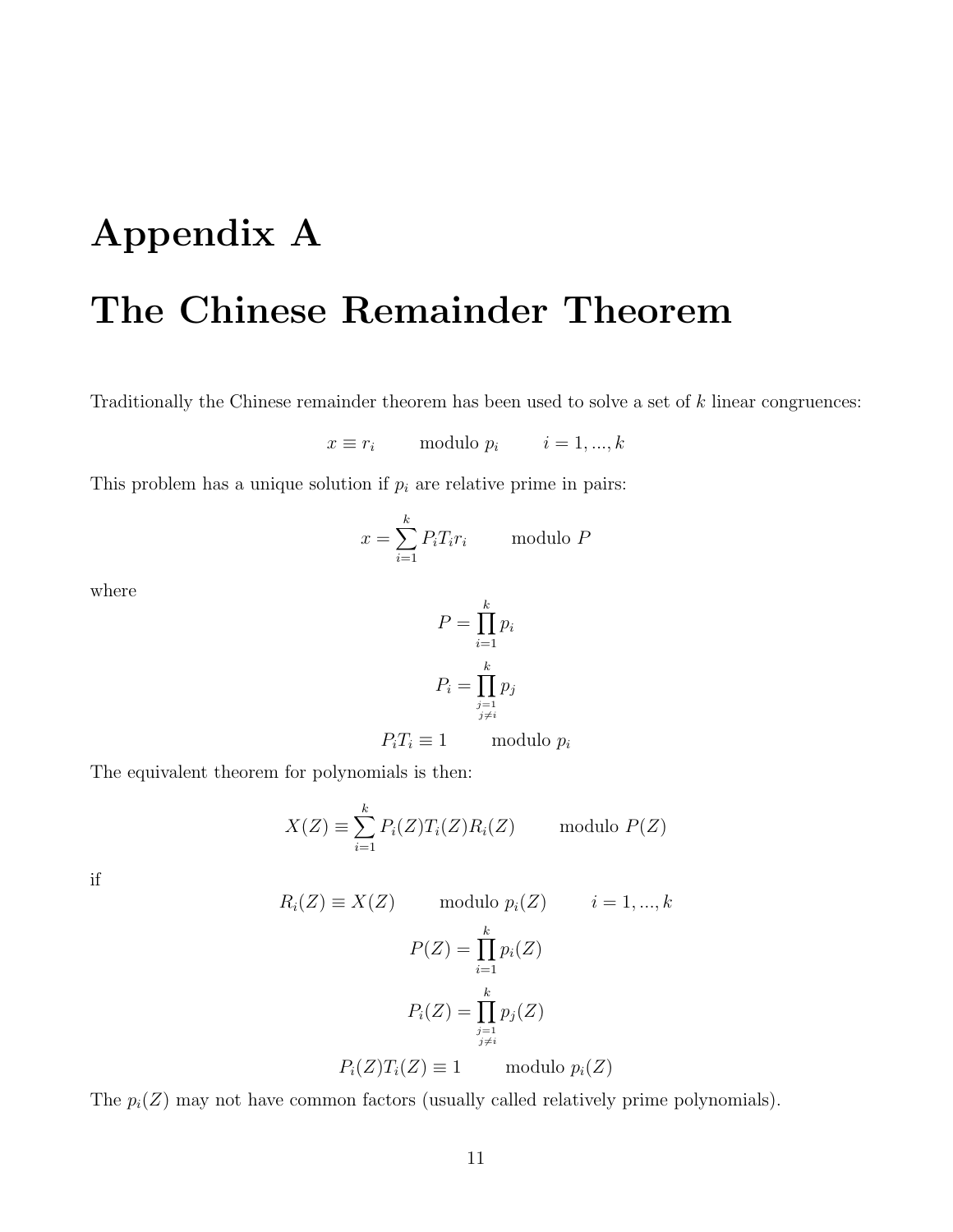# <span id="page-13-0"></span>Appendix A The Chinese Remainder Theorem

Traditionally the Chinese remainder theorem has been used to solve a set of k linear congruences:

$$
x \equiv r_i \qquad \text{modulo } p_i \qquad i = 1, ..., k
$$

This problem has a unique solution if  $p_i$  are relative prime in pairs:

$$
x = \sum_{i=1}^{k} P_i T_i r_i
$$
 modulo P

where

$$
P = \prod_{i=1}^{k} p_i
$$

$$
P_i = \prod_{\substack{j=1 \ j \neq i}}^{k} p_j
$$

 $P_iT_i \equiv 1$  modulo  $p_i$ 

The equivalent theorem for polynomials is then:

$$
X(Z) \equiv \sum_{i=1}^{k} P_i(Z) T_i(Z) R_i(Z) \quad \text{modulo } P(Z)
$$

if

$$
R_i(Z) \equiv X(Z) \qquad \text{modulo } p_i(Z) \qquad i = 1, ..., k
$$

$$
P(Z) = \prod_{i=1}^k p_i(Z)
$$

$$
P_i(Z) = \prod_{\substack{j=1 \ j \neq i}}^k p_j(Z)
$$

$$
P_i(Z)T_i(Z) \equiv 1 \qquad \text{modulo } p_i(Z)
$$

The  $p_i(Z)$  may not have common factors (usually called relatively prime polynomials).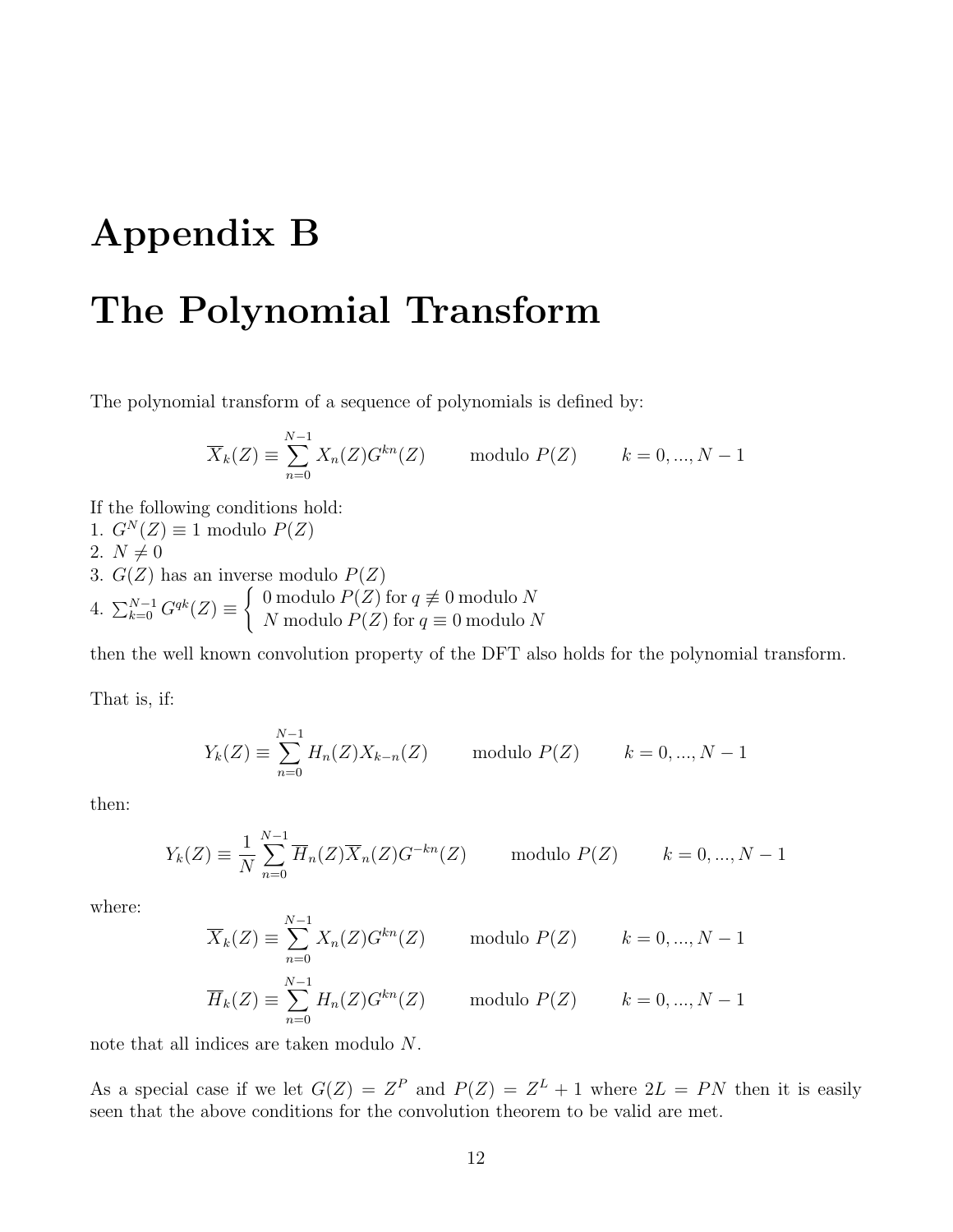## <span id="page-14-0"></span>Appendix B

### The Polynomial Transform

The polynomial transform of a sequence of polynomials is defined by:

$$
\overline{X}_k(Z) \equiv \sum_{n=0}^{N-1} X_n(Z) G^{kn}(Z) \quad \text{modulo } P(Z) \quad k = 0, ..., N-1
$$

- If the following conditions hold:
- 1.  $G^N(Z) \equiv 1 \text{ modulo } P(Z)$
- 2.  $N \neq 0$
- 3.  $G(Z)$  has an inverse modulo  $P(Z)$
- 4.  $\sum_{k=0}^{N-1} G^{qk}(Z) \equiv \begin{cases} 0 \text{ modulo } P(Z) \text{ for } q \not\equiv 0 \text{ modulo } N \\ N \text{ modulo } P(Z) \text{ for } q = 0 \text{ modulo } N \end{cases}$ N modulo  $P(Z)$  for  $q \equiv 0$  modulo N

then the well known convolution property of the DFT also holds for the polynomial transform.

That is, if:

$$
Y_k(Z) \equiv \sum_{n=0}^{N-1} H_n(Z) X_{k-n}(Z) \quad \text{modulo } P(Z) \quad k = 0, ..., N-1
$$

then:

$$
Y_k(Z) \equiv \frac{1}{N} \sum_{n=0}^{N-1} \overline{H}_n(Z) \overline{X}_n(Z) G^{-kn}(Z) \quad \text{modulo } P(Z) \quad k = 0, ..., N-1
$$

where:

$$
\overline{X}_k(Z) \equiv \sum_{n=0}^{N-1} X_n(Z) G^{kn}(Z) \quad \text{modulo } P(Z) \quad k = 0, ..., N-1
$$
  

$$
\overline{H}_k(Z) \equiv \sum_{n=0}^{N-1} H_n(Z) G^{kn}(Z) \quad \text{modulo } P(Z) \quad k = 0, ..., N-1
$$

note that all indices are taken modulo N.

As a special case if we let  $G(Z) = Z^P$  and  $P(Z) = Z^L + 1$  where  $2L = PN$  then it is easily seen that the above conditions for the convolution theorem to be valid are met.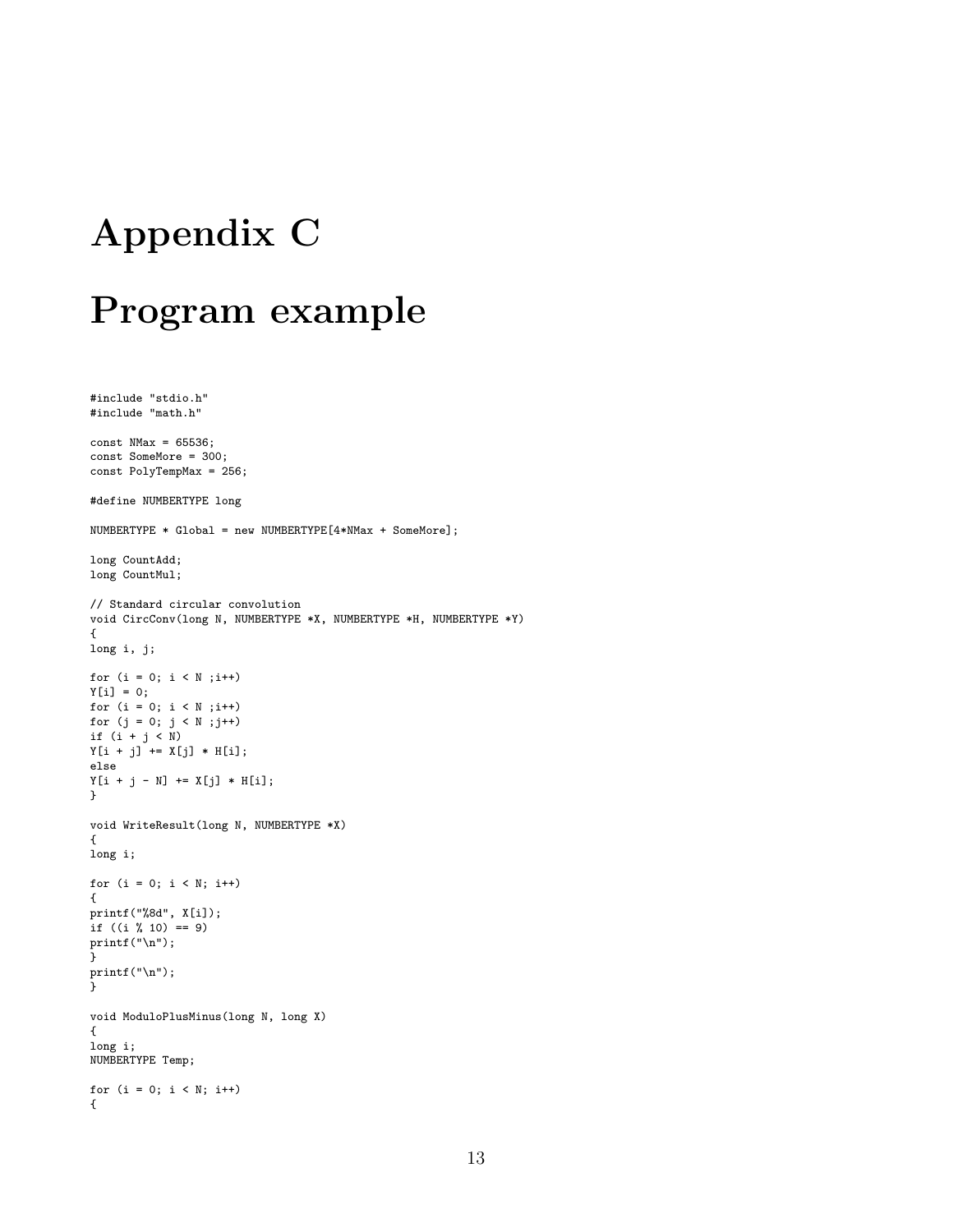## <span id="page-15-0"></span>Appendix C

### Program example

```
#include "stdio.h"
#include "math.h"
const NMax = 65536;const SomeMore = 300;
const PolyTempMax = 256;
#define NUMBERTYPE long
NUMBERTYPE * Global = new NUMBERTYPE[4*NMax + SomeMore];
long CountAdd;
long CountMul;
// Standard circular convolution
void CircConv(long N, NUMBERTYPE *X, NUMBERTYPE *H, NUMBERTYPE *Y)
{
long i, j;
for (i = 0; i < N; i++)Y[i] = 0;
for (i = 0; i < N; i++)for (j = 0; j < N ; j++)if (i + j < N)Y[i + j] += X[j] * H[i];
else
Y[i + j - N] += X[j] * H[i];
}
void WriteResult(long N, NUMBERTYPE *X)
{
long i;
for (i = 0; i < N; i++){
printf("%8d", X[i]);
if ((i % 10) == 9)
print("\n'\n");
}
printf("\langle");
}
void ModuloPlusMinus(long N, long X)
{
long i;
NUMBERTYPE Temp;
for (i = 0; i < N; i++){
```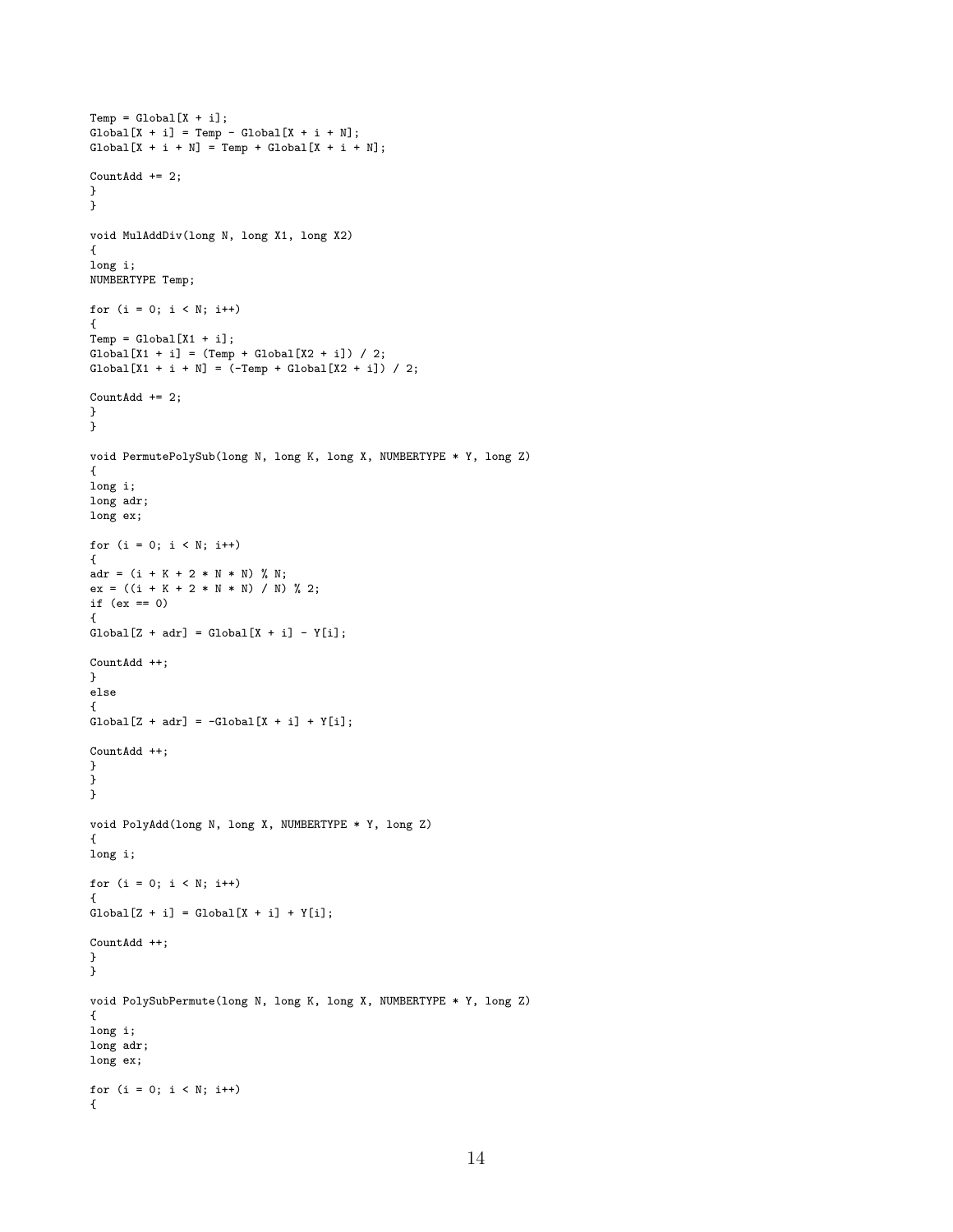```
Temp = Global[X + i];Global[X + i] = Temp - Global[X + i + N];
Global[X + i + N] = Temp + Global[X + i + N];CountAdd += 2;
}
}
void MulAddDiv(long N, long X1, long X2)
{
long i;
NUMBERTYPE Temp;
for (i = 0; i < N; i++){
Temp = Global[X1 + i];Global[X1 + i] = (Temp + Global[X2 + i]) / 2;Global[X1 + i + N] = (-Temp + Global[X2 + i]) / 2;CountAdd += 2;
}
}
void PermutePolySub(long N, long K, long X, NUMBERTYPE * Y, long Z)
{
long i;
long adr;
long ex;
for (i = 0; i < N; i++){
adr = (i + K + 2 * N * N) % N;
ex = ((i + K + 2 * N * N) / N) %if (ex == 0){
Global[Z + adr] = Global[X + i] - Y[i];CountAdd ++;
}
else
{
Global[Z + adr] = -Global[X + i] + Y[i];CountAdd ++;
}
}
}
void PolyAdd(long N, long X, NUMBERTYPE * Y, long Z)
{
long i;
for (i = 0; i < N; i++){
Global[Z + i] = Global[X + i] + Y[i];CountAdd ++;
}
}
void PolySubPermute(long N, long K, long X, NUMBERTYPE * Y, long Z)
{
long i;
long adr;
long ex;
for (i = 0; i < N; i++){
```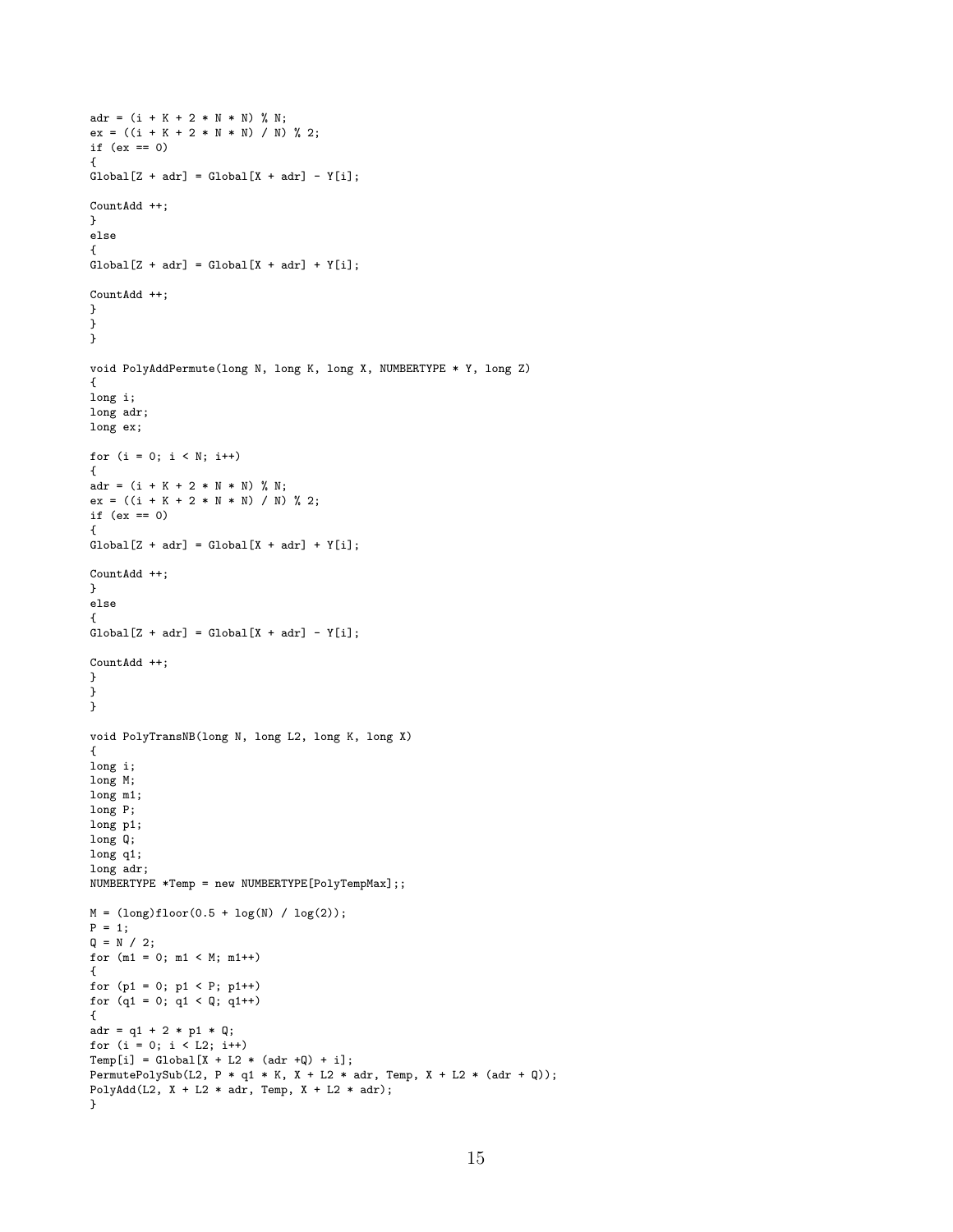```
adr = (i + K + 2 * N * N) %ex = ((i + K + 2 * N * N) / N) %if (ex == 0)
{
Global[Z + adr] = Global[X + adr] - Y[i];CountAdd ++;
}
else
{
Global[Z + adr] = Global[X + adr] + Y[i];CountAdd ++;
}
}
}
void PolyAddPermute(long N, long K, long X, NUMBERTYPE * Y, long Z)
{
long i;
long adr;
long ex;
for (i = 0; i < N; i++){
adr = (i + K + 2 * N * N) % N;
ex = ((i + K + 2 * N * N) / N) % 2;
if (ex == 0)
\overline{A}Global[Z + adr] = Global[X + adr] + Y[i];CountAdd ++;
}
else
{
Global[Z + adr] = Global[X + adr] - Y[i];CountAdd ++;
}
}
}
void PolyTransNB(long N, long L2, long K, long X)
{
long i;
long M;
long m1;
long P;
long p1;
long Q;
long q1;
long adr;
NUMBERTYPE *Temp = new NUMBERTYPE[PolyTempMax];;
M = (long)floor(0.5 + log(N) / log(2));P = 1;Q = N / 2;for (m1 = 0; m1 < M; m1++){
for (p1 = 0; p1 < P; p1++)for (q1 = 0; q1 < Q; q1++){
adr = q1 + 2 * p1 * Q;for (i = 0; i < L2; i++)Temp[i] = Global[X + L2 * (adr +Q) + i];
PermutePolySub(L2, P * q1 * K, X + L2 * adr, Temp, X + L2 * (adr + Q));
PolyAdd(L2, X + L2 * adr, Temp, X + L2 * adr);
}
```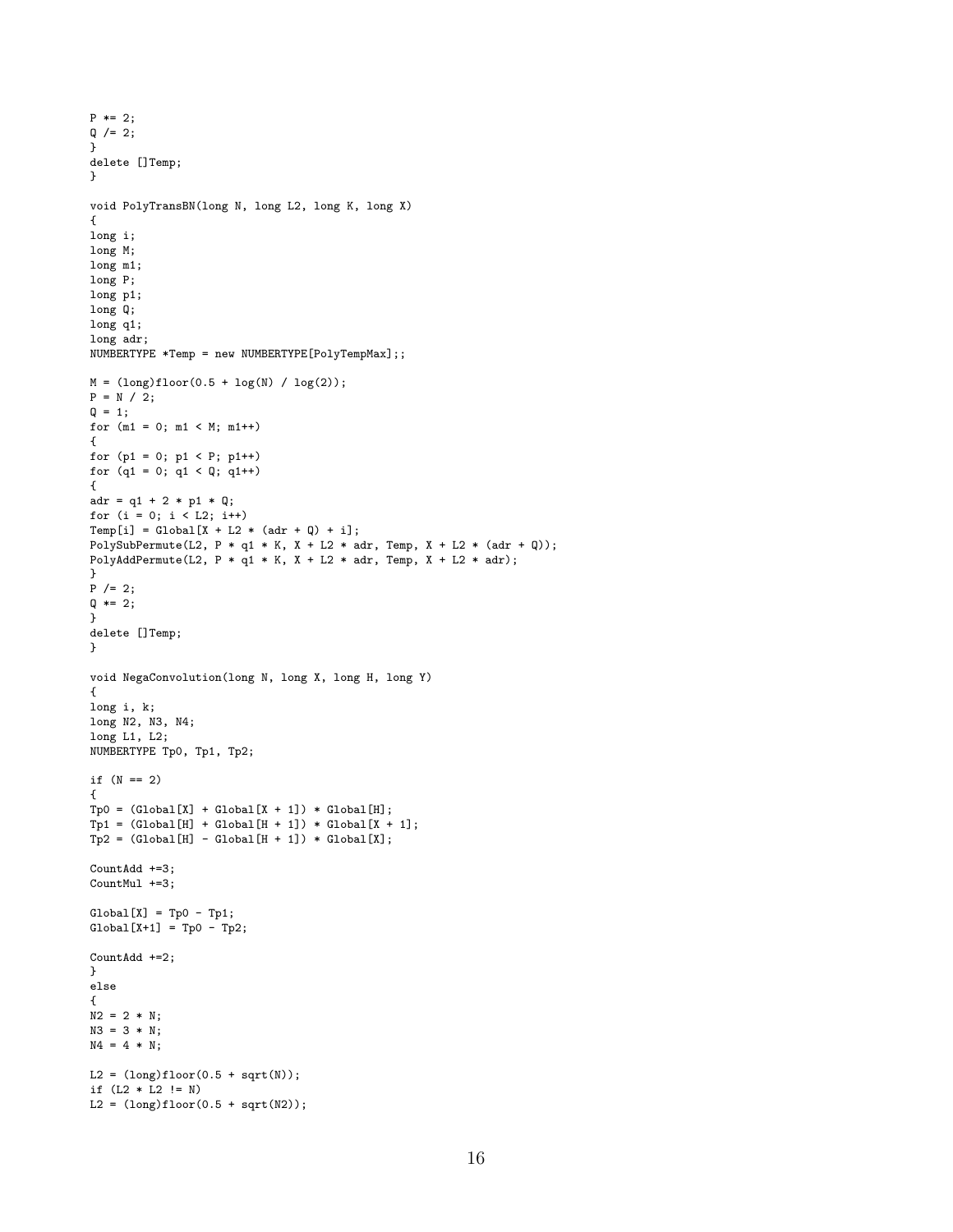```
P * = 2;
Q / = 2;}
delete []Temp;
}
void PolyTransBN(long N, long L2, long K, long X)
{
long i;
long M;
long m1;
long P;
long p1;
long Q;
long q1;
long adr;
NUMBERTYPE *Temp = new NUMBERTYPE[PolyTempMax];;
M = (long)floor(0.5 + log(N) / log(2));P = N / 2;Q = 1;for (m1 = 0; m1 < M; m1++){
for (p1 = 0; p1 < P; p1++)for (q1 = 0; q1 < Q; q1++){
adr = q1 + 2 * p1 * Q;for (i = 0; i < L2; i++)Temp[i] = Global[X + L2 * (adr + Q) + i];
PolySubPermute(L2, P * q1 * K, X + L2 * adr, Temp, X + L2 * (adr + Q);
PolyAddPermute(L2, P * q1 * K, X + L2 * adr, Temp, X + L2 * adr);
}
P /= 2;
Q \neq 2;}
delete []Temp;
}
void NegaConvolution(long N, long X, long H, long Y)
{
long i, k;
long N2, N3, N4;
long L1, L2;
NUMBERTYPE Tp0, Tp1, Tp2;
if (N == 2){
\text{Tp0 = (Global[X] + Global[X + 1]) * Global[H];}\texttt{Tp1 = (Global[H] + Global[H + 1]) * Global[X + 1];}Tp2 = (Global[H] - Global[H + 1]) * Global[X];CountAdd +=3;
CountMul +=3;
Global[X] = Tp0 - Tp1;Global[X+1] = Top0 - Tp2;CountAdd +=2;
}
else
{
N2 = 2 * N;N3 = 3 * N;N4 = 4 * N;L2 = (long)floor(0.5 + sqrt(N));if (L2 * L2 != N)L2 = (long)floor(0.5 + sqrt(N2));
```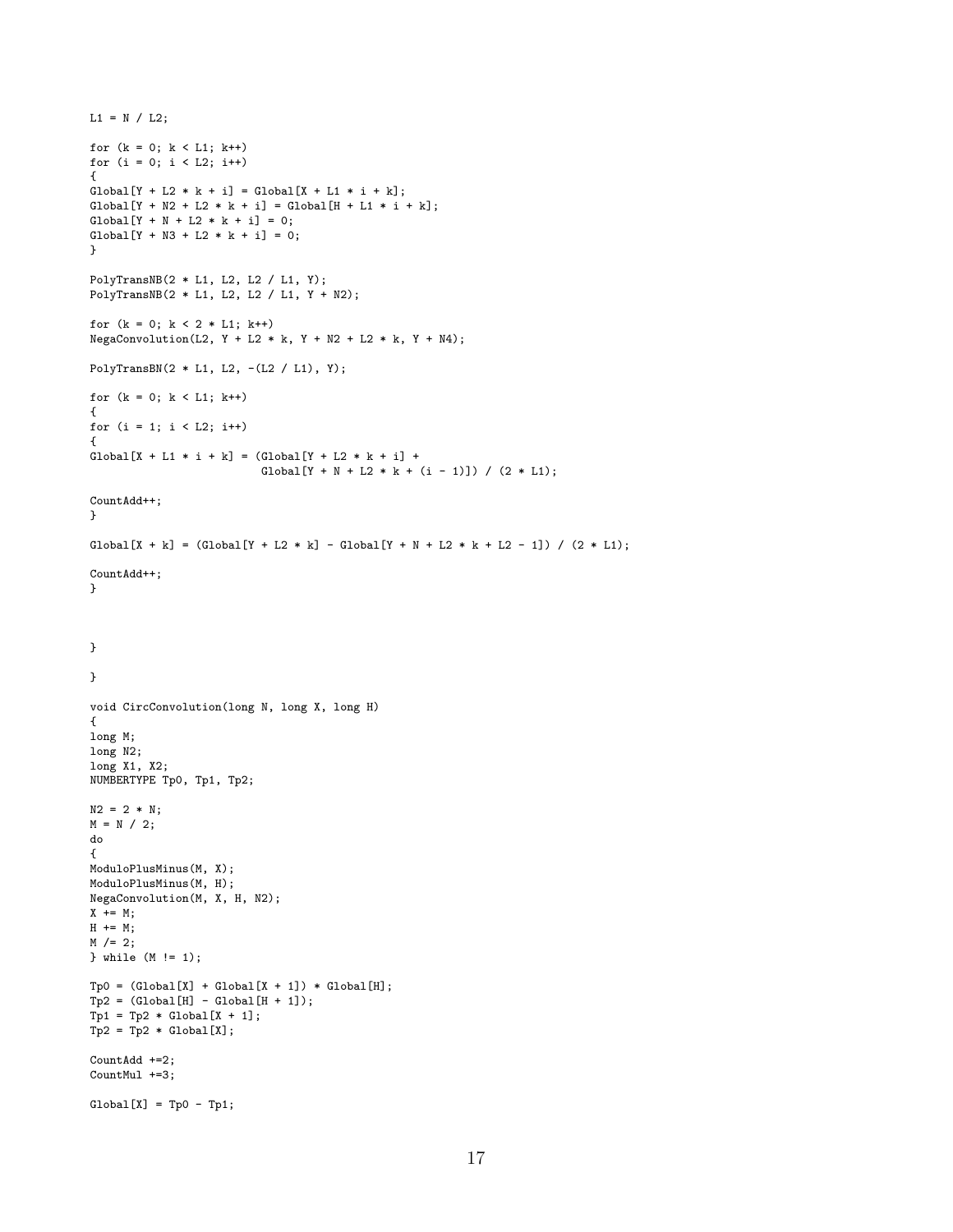```
L1 = N / L2;for (k = 0; k < L1; k++)for (i = 0; i < L2; i++){
Global[Y + L2 * k + i] = Global[X + L1 * i + k];Global[Y + N2 + L2 * k + i] = Global[H + L1 * i + k];Global[Y + N + L2 * k + i] = 0;Global[Y + N3 + L2 * k + i] = 0;}
PolyTransNB(2 * L1, L2, L2 / L1, Y);
PolyTransNB(2 * L1, L2, L2 / L1, Y + N2);
for (k = 0; k < 2 * L1; k++)NegaConvolution(L2, Y + L2 * k, Y + N2 + L2 * k, Y + N4);PolyTransBN(2 * L1, L2, -(L2 / L1), Y);
for (k = 0; k < L1; k++){
for (i = 1; i < L2; i++){
Global[X + L1 * i + k] = (Global[Y + L2 * k + i] +Global[Y + N + L2 * k + (i - 1)]) / (2 * L1);CountAdd++;
}
Global[X + k] = (Global[Y + L2 * k] - Global[Y + N + L2 * k + L2 - 1]) / (2 * L1);CountAdd++;
}
}
}
void CircConvolution(long N, long X, long H)
{
long M;
long N2;
long X1, X2;
NUMBERTYPE Tp0, Tp1, Tp2;
N2 = 2 * N;M = N / 2;do
{
ModuloPlusMinus(M, X);
ModuloPlusMinus(M, H);
NegaConvolution(M, X, H, N2);
X += M;
H += M;
M / = 2;} while (M != 1);
\texttt{Tp0 = (Global[X] + Global[X + 1]) * Global[H];}\texttt{Tp2 = (Global[H] - Global[H + 1]);}Tp1 = Tp2 * Global[X + 1];Tp2 = Tp2 * Global[X];CountAdd +=2;
CountMul +=3;
Global[X] = Tp0 - Tp1;
```